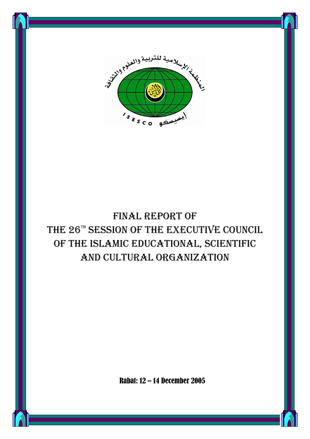

# FINAL REPORT OF THE 26TH SESSION OF THE EXECUTIVE COUNCIL OF THE ISLAMIC EDUCATIONAL, SCIENTIFIC AND CULTURAL ORGANIZATION

Rabat: 12 – 14 December 2005

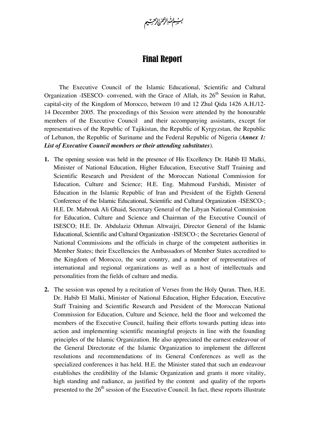بسنة الله الزحمرا الرحيتيم

#### Final Report

The Executive Council of the Islamic Educational, Scientific and Cultural Organization -ISESCO- convened, with the Grace of Allah, its  $26<sup>th</sup>$  Session in Rabat, capital-city of the Kingdom of Morocco, between 10 and 12 Zhul Qida 1426 A.H./12- 14 December 2005. The proceedings of this Session were attended by the honourable members of the Executive Council and their accompanying assistants, except for representatives of the Republic of Tajikistan, the Republic of Kyrgyzstan, the Republic of Lebanon, the Republic of Suriname and the Federal Republic of Nigeria (*Annex 1: List of Executive Council members or their attending substitutes*).

- **1.** The opening session was held in the presence of His Excellency Dr. Habib El Malki, Minister of National Education, Higher Education, Executive Staff Training and Scientific Research and President of the Moroccan National Commission for Education, Culture and Science; H.E. Eng. Mahmoud Farshidi, Minister of Education in the Islamic Republic of Iran and President of the Eighth General Conference of the Islamic Educational, Scientific and Cultural Organization -ISESCO-; H.E. Dr. Mabrouk Ali Ghaid, Secretary General of the Libyan National Commission for Education, Culture and Science and Chairman of the Executive Council of ISESCO; H.E. Dr. Abdulaziz Othman Altwaijri, Director General of the Islamic Educational, Scientific and Cultural Organization -ISESCO-; the Secretaries General of National Commissions and the officials in charge of the competent authorities in Member States; their Excellencies the Ambassadors of Member States accredited to the Kingdom of Morocco, the seat country, and a number of representatives of international and regional organizations as well as a host of intellectuals and personalities from the fields of culture and media.
- **2.** The session was opened by a recitation of Verses from the Holy Quran. Then, H.E. Dr. Habib El Malki, Minister of National Education, Higher Education, Executive Staff Training and Scientific Research and President of the Moroccan National Commission for Education, Culture and Science, held the floor and welcomed the members of the Executive Council, hailing their efforts towards putting ideas into action and implementing scientific meaningful projects in line with the founding principles of the Islamic Organization. He also appreciated the earnest endeavour of the General Directorate of the Islamic Organization to implement the different resolutions and recommendations of its General Conferences as well as the specialized conferences it has held. H.E. the Minister stated that such an endeavour establishes the credibility of the Islamic Organization and grants it more vitality, high standing and radiance, as justified by the content and quality of the reports presented to the  $26<sup>th</sup>$  session of the Executive Council. In fact, these reports illustrate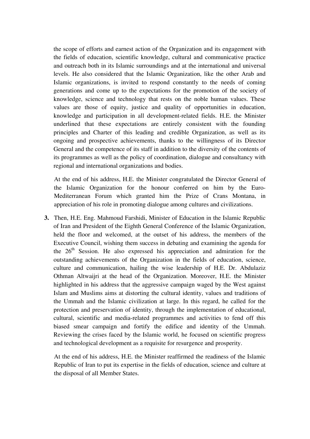the scope of efforts and earnest action of the Organization and its engagement with the fields of education, scientific knowledge, cultural and communicative practice and outreach both in its Islamic surroundings and at the international and universal levels. He also considered that the Islamic Organization, like the other Arab and Islamic organizations, is invited to respond constantly to the needs of coming generations and come up to the expectations for the promotion of the society of knowledge, science and technology that rests on the noble human values. These values are those of equity, justice and quality of opportunities in education, knowledge and participation in all development-related fields. H.E. the Minister underlined that these expectations are entirely consistent with the founding principles and Charter of this leading and credible Organization, as well as its ongoing and prospective achievements, thanks to the willingness of its Director General and the competence of its staff in addition to the diversity of the contents of its programmes as well as the policy of coordination, dialogue and consultancy with regional and international organizations and bodies.

At the end of his address, H.E. the Minister congratulated the Director General of the Islamic Organization for the honour conferred on him by the Euro-Mediterranean Forum which granted him the Prize of Crans Montana, in appreciation of his role in promoting dialogue among cultures and civilizations.

**3.** Then, H.E. Eng. Mahmoud Farshidi, Minister of Education in the Islamic Republic of Iran and President of the Eighth General Conference of the Islamic Organization, held the floor and welcomed, at the outset of his address, the members of the Executive Council, wishing them success in debating and examining the agenda for the  $26<sup>th</sup>$  Session. He also expressed his appreciation and admiration for the outstanding achievements of the Organization in the fields of education, science, culture and communication, hailing the wise leadership of H.E. Dr. Abdulaziz Othman Altwaijri at the head of the Organization. Moreover, H.E. the Minister highlighted in his address that the aggressive campaign waged by the West against Islam and Muslims aims at distorting the cultural identity, values and traditions of the Ummah and the Islamic civilization at large. In this regard, he called for the protection and preservation of identity, through the implementation of educational, cultural, scientific and media-related programmes and activities to fend off this biased smear campaign and fortify the edifice and identity of the Ummah. Reviewing the crises faced by the Islamic world, he focused on scientific progress and technological development as a requisite for resurgence and prosperity.

At the end of his address, H.E. the Minister reaffirmed the readiness of the Islamic Republic of Iran to put its expertise in the fields of education, science and culture at the disposal of all Member States.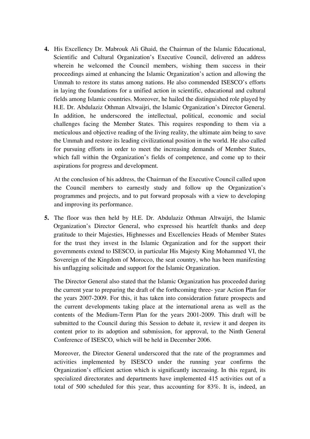**4.** His Excellency Dr. Mabrouk Ali Ghaid, the Chairman of the Islamic Educational, Scientific and Cultural Organization's Executive Council, delivered an address wherein he welcomed the Council members, wishing them success in their proceedings aimed at enhancing the Islamic Organization's action and allowing the Ummah to restore its status among nations. He also commended ISESCO's efforts in laying the foundations for a unified action in scientific, educational and cultural fields among Islamic countries. Moreover, he hailed the distinguished role played by H.E. Dr. Abdulaziz Othman Altwaijri, the Islamic Organization's Director General. In addition, he underscored the intellectual, political, economic and social challenges facing the Member States. This requires responding to them via a meticulous and objective reading of the living reality, the ultimate aim being to save the Ummah and restore its leading civilizational position in the world. He also called for pursuing efforts in order to meet the increasing demands of Member States, which fall within the Organization's fields of competence, and come up to their aspirations for progress and development.

At the conclusion of his address, the Chairman of the Executive Council called upon the Council members to earnestly study and follow up the Organization's programmes and projects, and to put forward proposals with a view to developing and improving its performance.

**5.** The floor was then held by H.E. Dr. Abdulaziz Othman Altwaijri, the Islamic Organization's Director General, who expressed his heartfelt thanks and deep gratitude to their Majesties, Highnesses and Excellencies Heads of Member States for the trust they invest in the Islamic Organization and for the support their governments extend to ISESCO, in particular His Majesty King Mohammed VI, the Sovereign of the Kingdom of Morocco, the seat country, who has been manifesting his unflagging solicitude and support for the Islamic Organization.

The Director General also stated that the Islamic Organization has proceeded during the current year to preparing the draft of the forthcoming three- year Action Plan for the years 2007-2009. For this, it has taken into consideration future prospects and the current developments taking place at the international arena as well as the contents of the Medium-Term Plan for the years 2001-2009. This draft will be submitted to the Council during this Session to debate it, review it and deepen its content prior to its adoption and submission, for approval, to the Ninth General Conference of ISESCO, which will be held in December 2006.

Moreover, the Director General underscored that the rate of the programmes and activities implemented by ISESCO under the running year confirms the Organization's efficient action which is significantly increasing. In this regard, its specialized directorates and departments have implemented 415 activities out of a total of 500 scheduled for this year, thus accounting for 83%. It is, indeed, an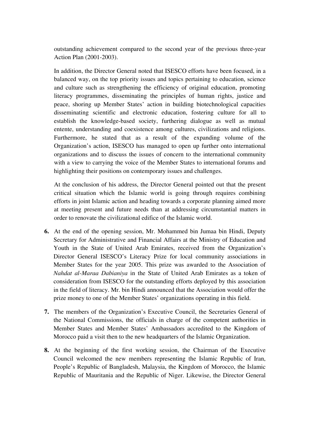outstanding achievement compared to the second year of the previous three-year Action Plan (2001-2003).

In addition, the Director General noted that ISESCO efforts have been focused, in a balanced way, on the top priority issues and topics pertaining to education, science and culture such as strengthening the efficiency of original education, promoting literacy programmes, disseminating the principles of human rights, justice and peace, shoring up Member States' action in building biotechnological capacities disseminating scientific and electronic education, fostering culture for all to establish the knowledge-based society, furthering dialogue as well as mutual entente, understanding and coexistence among cultures, civilizations and religions. Furthermore, he stated that as a result of the expanding volume of the Organization's action, ISESCO has managed to open up further onto international organizations and to discuss the issues of concern to the international community with a view to carrying the voice of the Member States to international forums and highlighting their positions on contemporary issues and challenges.

At the conclusion of his address, the Director General pointed out that the present critical situation which the Islamic world is going through requires combining efforts in joint Islamic action and heading towards a corporate planning aimed more at meeting present and future needs than at addressing circumstantial matters in order to renovate the civilizational edifice of the Islamic world.

- **6.** At the end of the opening session, Mr. Mohammed bin Jumaa bin Hindi, Deputy Secretary for Administrative and Financial Affairs at the Ministry of Education and Youth in the State of United Arab Emirates, received from the Organization's Director General ISESCO's Literacy Prize for local community associations in Member States for the year 2005. This prize was awarded to the Association of *Nahdat al-Maraa Dabianiya* in the State of United Arab Emirates as a token of consideration from ISESCO for the outstanding efforts deployed by this association in the field of literacy. Mr. bin Hindi announced that the Association would offer the prize money to one of the Member States' organizations operating in this field.
- **7.** The members of the Organization's Executive Council, the Secretaries General of the National Commissions, the officials in charge of the competent authorities in Member States and Member States' Ambassadors accredited to the Kingdom of Morocco paid a visit then to the new headquarters of the Islamic Organization.
- **8.** At the beginning of the first working session, the Chairman of the Executive Council welcomed the new members representing the Islamic Republic of Iran, People's Republic of Bangladesh, Malaysia, the Kingdom of Morocco, the Islamic Republic of Mauritania and the Republic of Niger. Likewise, the Director General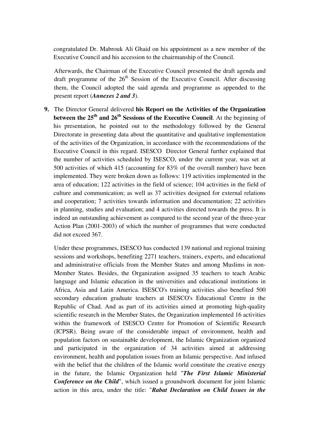congratulated Dr. Mabrouk Ali Ghaid on his appointment as a new member of the Executive Council and his accession to the chairmanship of the Council.

Afterwards, the Chairman of the Executive Council presented the draft agenda and draft programme of the  $26<sup>th</sup>$  Session of the Executive Council. After discussing them, the Council adopted the said agenda and programme as appended to the present report (*Annexes 2 and 3*).

**9.** The Director General delivered **his Report on the Activities of the Organization between the 25th and 26th Sessions of the Executive Council**. At the beginning of his presentation, he pointed out to the methodology followed by the General Directorate in presenting data about the quantitative and qualitative implementation of the activities of the Organization, in accordance with the recommendations of the Executive Council in this regard. ISESCO Director General further explained that the number of activities scheduled by ISESCO, under the current year, was set at 500 activities of which 415 (accounting for 83% of the overall number) have been implemented. They were broken down as follows: 119 activities implemented in the area of education; 122 activities in the field of science; 104 activities in the field of culture and communication; as well as 37 activities designed for external relations and cooperation; 7 activities towards information and documentation; 22 activities in planning, studies and evaluation; and 4 activities directed towards the press. It is indeed an outstanding achievement as compared to the second year of the three-year Action Plan (2001-2003) of which the number of programmes that were conducted did not exceed 367.

Under these programmes, ISESCO has conducted 139 national and regional training sessions and workshops, benefiting 2271 teachers, trainers, experts, and educational and administrative officials from the Member States and among Muslims in non-Member States. Besides, the Organization assigned 35 teachers to teach Arabic language and Islamic education in the universities and educational institutions in Africa, Asia and Latin America. ISESCO's training activities also benefited 500 secondary education graduate teachers at ISESCO's Educational Centre in the Republic of Chad. And as part of its activities aimed at promoting high-quality scientific research in the Member States, the Organization implemented 16 activities within the framework of ISESCO Centre for Promotion of Scientific Research (ICPSR). Being aware of the considerable impact of environment, health and population factors on sustainable development, the Islamic Organization organized and participated in the organization of 34 activities aimed at addressing environment, health and population issues from an Islamic perspective. And infused with the belief that the children of the Islamic world constitute the creative energy in the future, the Islamic Organization held "*The First Islamic Ministerial Conference on the Child*", which issued a groundwork document for joint Islamic action in this area, under the title: "*Rabat Declaration on Child Issues in the*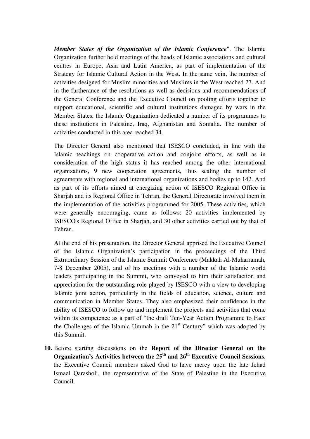*Member States of the Organization of the Islamic Conference*". The Islamic Organization further held meetings of the heads of Islamic associations and cultural centres in Europe, Asia and Latin America, as part of implementation of the Strategy for Islamic Cultural Action in the West. In the same vein, the number of activities designed for Muslim minorities and Muslims in the West reached 27. And in the furtherance of the resolutions as well as decisions and recommendations of the General Conference and the Executive Council on pooling efforts together to support educational, scientific and cultural institutions damaged by wars in the Member States, the Islamic Organization dedicated a number of its programmes to these institutions in Palestine, Iraq, Afghanistan and Somalia. The number of activities conducted in this area reached 34.

The Director General also mentioned that ISESCO concluded, in line with the Islamic teachings on cooperative action and conjoint efforts, as well as in consideration of the high status it has reached among the other international organizations, 9 new cooperation agreements, thus scaling the number of agreements with regional and international organizations and bodies up to 142. And as part of its efforts aimed at energizing action of ISESCO Regional Office in Sharjah and its Regional Office in Tehran, the General Directorate involved them in the implementation of the activities programmed for 2005. These activities, which were generally encouraging, came as follows: 20 activities implemented by ISESCO's Regional Office in Sharjah, and 30 other activities carried out by that of Tehran.

At the end of his presentation, the Director General apprised the Executive Council of the Islamic Organization's participation in the proceedings of the Third Extraordinary Session of the Islamic Summit Conference (Makkah Al-Mukarramah, 7-8 December 2005), and of his meetings with a number of the Islamic world leaders participating in the Summit, who conveyed to him their satisfaction and appreciation for the outstanding role played by ISESCO with a view to developing Islamic joint action, particularly in the fields of education, science, culture and communication in Member States. They also emphasized their confidence in the ability of ISESCO to follow up and implement the projects and activities that come within its competence as a part of "the draft Ten-Year Action Programme to Face the Challenges of the Islamic Ummah in the  $21<sup>st</sup>$  Century" which was adopted by this Summit.

**10.** Before starting discussions on the **Report of the Director General on the Organization's Activities between the 25th and 26th Executive Council Sessions**, the Executive Council members asked God to have mercy upon the late Jehad Ismael Qarasholi, the representative of the State of Palestine in the Executive Council.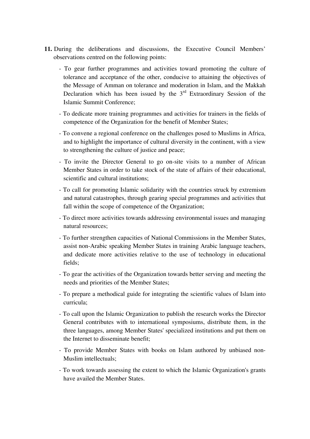- **11.** During the deliberations and discussions, the Executive Council Members' observations centred on the following points:
	- To gear further programmes and activities toward promoting the culture of tolerance and acceptance of the other, conducive to attaining the objectives of the Message of Amman on tolerance and moderation in Islam, and the Makkah Declaration which has been issued by the  $3<sup>rd</sup>$  Extraordinary Session of the Islamic Summit Conference;
	- To dedicate more training programmes and activities for trainers in the fields of competence of the Organization for the benefit of Member States;
	- To convene a regional conference on the challenges posed to Muslims in Africa, and to highlight the importance of cultural diversity in the continent, with a view to strengthening the culture of justice and peace;
	- To invite the Director General to go on-site visits to a number of African Member States in order to take stock of the state of affairs of their educational, scientific and cultural institutions;
	- To call for promoting Islamic solidarity with the countries struck by extremism and natural catastrophes, through gearing special programmes and activities that fall within the scope of competence of the Organization;
	- To direct more activities towards addressing environmental issues and managing natural resources;
	- To further strengthen capacities of National Commissions in the Member States, assist non-Arabic speaking Member States in training Arabic language teachers, and dedicate more activities relative to the use of technology in educational fields;
	- To gear the activities of the Organization towards better serving and meeting the needs and priorities of the Member States;
	- To prepare a methodical guide for integrating the scientific values of Islam into curricula;
	- To call upon the Islamic Organization to publish the research works the Director General contributes with to international symposiums, distribute them, in the three languages, among Member States' specialized institutions and put them on the Internet to disseminate benefit;
	- To provide Member States with books on Islam authored by unbiased non-Muslim intellectuals;
	- To work towards assessing the extent to which the Islamic Organization's grants have availed the Member States.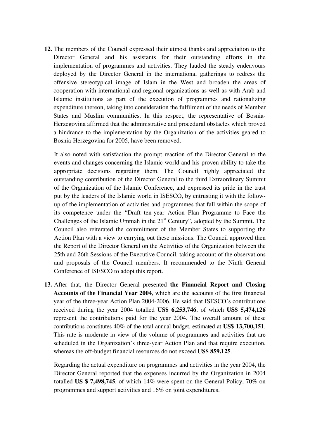**12.** The members of the Council expressed their utmost thanks and appreciation to the Director General and his assistants for their outstanding efforts in the implementation of programmes and activities. They lauded the steady endeavours deployed by the Director General in the international gatherings to redress the offensive stereotypical image of Islam in the West and broaden the areas of cooperation with international and regional organizations as well as with Arab and Islamic institutions as part of the execution of programmes and rationalizing expenditure thereon, taking into consideration the fulfilment of the needs of Member States and Muslim communities. In this respect, the representative of Bosnia-Herzegovina affirmed that the administrative and procedural obstacles which proved a hindrance to the implementation by the Organization of the activities geared to Bosnia-Herzegovina for 2005, have been removed.

It also noted with satisfaction the prompt reaction of the Director General to the events and changes concerning the Islamic world and his proven ability to take the appropriate decisions regarding them. The Council highly appreciated the outstanding contribution of the Director General to the third Extraordinary Summit of the Organization of the Islamic Conference, and expressed its pride in the trust put by the leaders of the Islamic world in ISESCO, by entrusting it with the followup of the implementation of activities and programmes that fall within the scope of its competence under the "Draft ten-year Action Plan Programme to Face the Challenges of the Islamic Ummah in the 21<sup>st</sup> Century", adopted by the Summit. The Council also reiterated the commitment of the Member States to supporting the Action Plan with a view to carrying out these missions. The Council approved then the Report of the Director General on the Activities of the Organization between the 25th and 26th Sessions of the Executive Council, taking account of the observations and proposals of the Council members. It recommended to the Ninth General Conference of ISESCO to adopt this report.

**13.** After that, the Director General presented **the Financial Report and Closing Accounts of the Financial Year 2004**, which are the accounts of the first financial year of the three-year Action Plan 2004-2006. He said that ISESCO's contributions received during the year 2004 totalled **US\$ 6,253,746**, of which **US\$ 5,474,126** represent the contributions paid for the year 2004. The overall amount of these contributions constitutes 40% of the total annual budget, estimated at **US\$ 13,700,151**. This rate is moderate in view of the volume of programmes and activities that are scheduled in the Organization's three-year Action Plan and that require execution, whereas the off-budget financial resources do not exceed **US\$ 859.125**.

Regarding the actual expenditure on programmes and activities in the year 2004, the Director General reported that the expenses incurred by the Organization in 2004 totalled **US \$ 7,498,745**, of which 14% were spent on the General Policy, 70% on programmes and support activities and 16% on joint expenditures.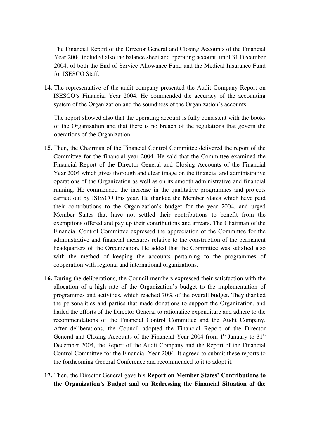The Financial Report of the Director General and Closing Accounts of the Financial Year 2004 included also the balance sheet and operating account, until 31 December 2004, of both the End-of-Service Allowance Fund and the Medical Insurance Fund for ISESCO Staff.

**14.** The representative of the audit company presented the Audit Company Report on ISESCO's Financial Year 2004. He commended the accuracy of the accounting system of the Organization and the soundness of the Organization's accounts.

The report showed also that the operating account is fully consistent with the books of the Organization and that there is no breach of the regulations that govern the operations of the Organization.

- **15.** Then, the Chairman of the Financial Control Committee delivered the report of the Committee for the financial year 2004. He said that the Committee examined the Financial Report of the Director General and Closing Accounts of the Financial Year 2004 which gives thorough and clear image on the financial and administrative operations of the Organization as well as on its smooth administrative and financial running. He commended the increase in the qualitative programmes and projects carried out by ISESCO this year. He thanked the Member States which have paid their contributions to the Organization's budget for the year 2004, and urged Member States that have not settled their contributions to benefit from the exemptions offered and pay up their contributions and arrears. The Chairman of the Financial Control Committee expressed the appreciation of the Committee for the administrative and financial measures relative to the construction of the permanent headquarters of the Organization. He added that the Committee was satisfied also with the method of keeping the accounts pertaining to the programmes of cooperation with regional and international organizations.
- **16.** During the deliberations, the Council members expressed their satisfaction with the allocation of a high rate of the Organization's budget to the implementation of programmes and activities, which reached 70% of the overall budget. They thanked the personalities and parties that made donations to support the Organization, and hailed the efforts of the Director General to rationalize expenditure and adhere to the recommendations of the Financial Control Committee and the Audit Company. After deliberations, the Council adopted the Financial Report of the Director General and Closing Accounts of the Financial Year 2004 from  $1<sup>st</sup>$  January to  $31<sup>st</sup>$ December 2004, the Report of the Audit Company and the Report of the Financial Control Committee for the Financial Year 2004. It agreed to submit these reports to the forthcoming General Conference and recommended to it to adopt it.
- **17.** Then, the Director General gave his **Report on Member States' Contributions to the Organization's Budget and on Redressing the Financial Situation of the**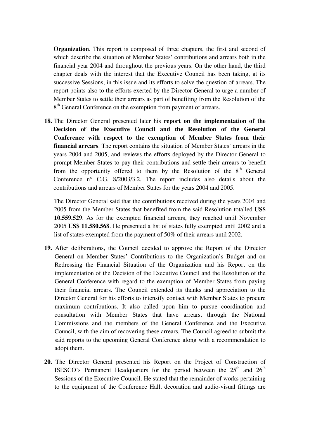**Organization**. This report is composed of three chapters, the first and second of which describe the situation of Member States' contributions and arrears both in the financial year 2004 and throughout the previous years. On the other hand, the third chapter deals with the interest that the Executive Council has been taking, at its successive Sessions, in this issue and its efforts to solve the question of arrears. The report points also to the efforts exerted by the Director General to urge a number of Member States to settle their arrears as part of benefiting from the Resolution of the 8<sup>th</sup> General Conference on the exemption from payment of arrears.

**18.** The Director General presented later his **report on the implementation of the Decision of the Executive Council and the Resolution of the General Conference with respect to the exemption of Member States from their financial arrears**. The report contains the situation of Member States' arrears in the years 2004 and 2005, and reviews the efforts deployed by the Director General to prompt Member States to pay their contributions and settle their arrears to benefit from the opportunity offered to them by the Resolution of the  $8<sup>th</sup>$  General Conference n° C.G. 8/2003/3.2. The report includes also details about the contributions and arrears of Member States for the years 2004 and 2005.

The Director General said that the contributions received during the years 2004 and 2005 from the Member States that benefited from the said Resolution totalled **US\$ 10.559.529**. As for the exempted financial arrears, they reached until November 2005 **US\$ 11.580.568**. He presented a list of states fully exempted until 2002 and a list of states exempted from the payment of 50% of their arrears until 2002.

- **19.** After deliberations, the Council decided to approve the Report of the Director General on Member States' Contributions to the Organization's Budget and on Redressing the Financial Situation of the Organization and his Report on the implementation of the Decision of the Executive Council and the Resolution of the General Conference with regard to the exemption of Member States from paying their financial arrears. The Council extended its thanks and appreciation to the Director General for his efforts to intensify contact with Member States to procure maximum contributions. It also called upon him to pursue coordination and consultation with Member States that have arrears, through the National Commissions and the members of the General Conference and the Executive Council, with the aim of recovering these arrears. The Council agreed to submit the said reports to the upcoming General Conference along with a recommendation to adopt them.
- **20.** The Director General presented his Report on the Project of Construction of ISESCO's Permanent Headquarters for the period between the  $25<sup>th</sup>$  and  $26<sup>th</sup>$ Sessions of the Executive Council. He stated that the remainder of works pertaining to the equipment of the Conference Hall, decoration and audio-visual fittings are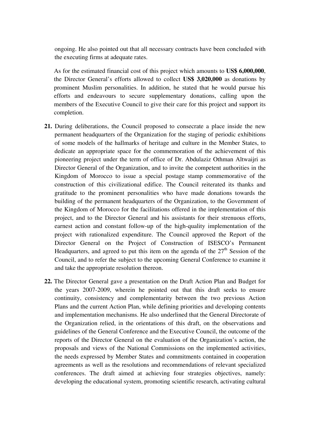ongoing. He also pointed out that all necessary contracts have been concluded with the executing firms at adequate rates.

As for the estimated financial cost of this project which amounts to **US\$ 6,000,000**, the Director General's efforts allowed to collect **US\$ 3,020,000** as donations by prominent Muslim personalities. In addition, he stated that he would pursue his efforts and endeavours to secure supplementary donations, calling upon the members of the Executive Council to give their care for this project and support its completion.

- **21.** During deliberations, the Council proposed to consecrate a place inside the new permanent headquarters of the Organization for the staging of periodic exhibitions of some models of the hallmarks of heritage and culture in the Member States, to dedicate an appropriate space for the commemoration of the achievement of this pioneering project under the term of office of Dr. Abdulaziz Othman Altwaijri as Director General of the Organization, and to invite the competent authorities in the Kingdom of Morocco to issue a special postage stamp commemorative of the construction of this civilizational edifice. The Council reiterated its thanks and gratitude to the prominent personalities who have made donations towards the building of the permanent headquarters of the Organization, to the Government of the Kingdom of Morocco for the facilitations offered in the implementation of this project, and to the Director General and his assistants for their strenuous efforts, earnest action and constant follow-up of the high-quality implementation of the project with rationalized expenditure. The Council approved the Report of the Director General on the Project of Construction of ISESCO's Permanent Headquarters, and agreed to put this item on the agenda of the  $27<sup>th</sup>$  Session of the Council, and to refer the subject to the upcoming General Conference to examine it and take the appropriate resolution thereon.
- **22.** The Director General gave a presentation on the Draft Action Plan and Budget for the years 2007-2009, wherein he pointed out that this draft seeks to ensure continuity, consistency and complementarity between the two previous Action Plans and the current Action Plan, while defining priorities and developing contents and implementation mechanisms. He also underlined that the General Directorate of the Organization relied, in the orientations of this draft, on the observations and guidelines of the General Conference and the Executive Council, the outcome of the reports of the Director General on the evaluation of the Organization's action, the proposals and views of the National Commissions on the implemented activities, the needs expressed by Member States and commitments contained in cooperation agreements as well as the resolutions and recommendations of relevant specialized conferences. The draft aimed at achieving four strategies objectives, namely: developing the educational system, promoting scientific research, activating cultural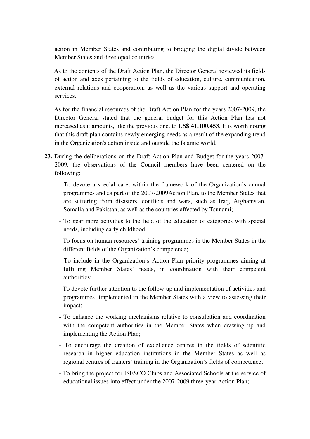action in Member States and contributing to bridging the digital divide between Member States and developed countries.

As to the contents of the Draft Action Plan, the Director General reviewed its fields of action and axes pertaining to the fields of education, culture, communication, external relations and cooperation, as well as the various support and operating services.

As for the financial resources of the Draft Action Plan for the years 2007-2009, the Director General stated that the general budget for this Action Plan has not increased as it amounts, like the previous one, to **US\$ 41.100,453**. It is worth noting that this draft plan contains newly emerging needs as a result of the expanding trend in the Organization's action inside and outside the Islamic world.

- **23.** During the deliberations on the Draft Action Plan and Budget for the years 2007- 2009, the observations of the Council members have been centered on the following:
	- To devote a special care, within the framework of the Organization's annual programmes and as part of the 2007-2009Action Plan, to the Member States that are suffering from disasters, conflicts and wars, such as Iraq, Afghanistan, Somalia and Pakistan, as well as the countries affected by Tsunami;
	- To gear more activities to the field of the education of categories with special needs, including early childhood;
	- To focus on human resources' training programmes in the Member States in the different fields of the Organization's competence;
	- To include in the Organization's Action Plan priority programmes aiming at fulfilling Member States' needs, in coordination with their competent authorities;
	- To devote further attention to the follow-up and implementation of activities and programmes implemented in the Member States with a view to assessing their impact;
	- To enhance the working mechanisms relative to consultation and coordination with the competent authorities in the Member States when drawing up and implementing the Action Plan;
	- To encourage the creation of excellence centres in the fields of scientific research in higher education institutions in the Member States as well as regional centres of trainers' training in the Organization's fields of competence;
	- To bring the project for ISESCO Clubs and Associated Schools at the service of educational issues into effect under the 2007-2009 three-year Action Plan;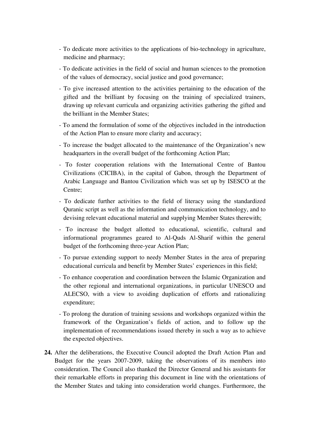- To dedicate more activities to the applications of bio-technology in agriculture, medicine and pharmacy;
- To dedicate activities in the field of social and human sciences to the promotion of the values of democracy, social justice and good governance;
- To give increased attention to the activities pertaining to the education of the gifted and the brilliant by focusing on the training of specialized trainers, drawing up relevant curricula and organizing activities gathering the gifted and the brilliant in the Member States;
- To amend the formulation of some of the objectives included in the introduction of the Action Plan to ensure more clarity and accuracy;
- To increase the budget allocated to the maintenance of the Organization's new headquarters in the overall budget of the forthcoming Action Plan;
- To foster cooperation relations with the International Centre of Bantou Civilizations (CICIBA), in the capital of Gabon, through the Department of Arabic Language and Bantou Civilization which was set up by ISESCO at the Centre;
- To dedicate further activities to the field of literacy using the standardized Quranic script as well as the information and communication technology, and to devising relevant educational material and supplying Member States therewith;
- To increase the budget allotted to educational, scientific, cultural and informational programmes geared to Al-Quds Al-Sharif within the general budget of the forthcoming three-year Action Plan;
- To pursue extending support to needy Member States in the area of preparing educational curricula and benefit by Member States' experiences in this field;
- To enhance cooperation and coordination between the Islamic Organization and the other regional and international organizations, in particular UNESCO and ALECSO, with a view to avoiding duplication of efforts and rationalizing expenditure;
- To prolong the duration of training sessions and workshops organized within the framework of the Organization's fields of action, and to follow up the implementation of recommendations issued thereby in such a way as to achieve the expected objectives.
- **24.** After the deliberations, the Executive Council adopted the Draft Action Plan and Budget for the years 2007-2009, taking the observations of its members into consideration. The Council also thanked the Director General and his assistants for their remarkable efforts in preparing this document in line with the orientations of the Member States and taking into consideration world changes. Furthermore, the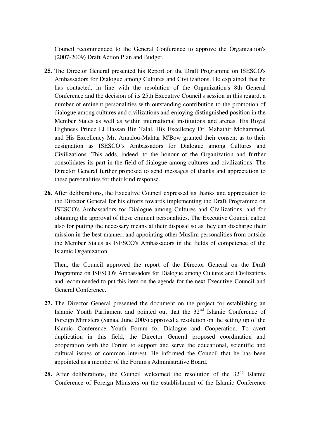Council recommended to the General Conference to approve the Organization's (2007-2009) Draft Action Plan and Budget.

- **25.** The Director General presented his Report on the Draft Programme on ISESCO's Ambassadors for Dialogue among Cultures and Civilizations. He explained that he has contacted, in line with the resolution of the Organization's 8th General Conference and the decision of its 25th Executive Council's session in this regard, a number of eminent personalities with outstanding contribution to the promotion of dialogue among cultures and civilizations and enjoying distinguished position in the Member States as well as within international institutions and arenas. His Royal Highness Prince El Hassan Bin Talal, His Excellency Dr. Mahathir Mohammed, and His Excellency Mr. Amadou-Mahtar M'Bow granted their consent as to their designation as ISESCO's Ambassadors for Dialogue among Cultures and Civilizations. This adds, indeed, to the honour of the Organization and further consolidates its part in the field of dialogue among cultures and civilizations. The Director General further proposed to send messages of thanks and appreciation to these personalities for their kind response.
- **26.** After deliberations, the Executive Council expressed its thanks and appreciation to the Director General for his efforts towards implementing the Draft Programme on ISESCO's Ambassadors for Dialogue among Cultures and Civilizations, and for obtaining the approval of these eminent personalities. The Executive Council called also for putting the necessary means at their disposal so as they can discharge their mission in the best manner, and appointing other Muslim personalities from outside the Member States as ISESCO's Ambassadors in the fields of competence of the Islamic Organization.

Then, the Council approved the report of the Director General on the Draft Programme on ISESCO's Ambassadors for Dialogue among Cultures and Civilizations and recommended to put this item on the agenda for the next Executive Council and General Conference.

- **27.** The Director General presented the document on the project for establishing an Islamic Youth Parliament and pointed out that the  $32<sup>nd</sup>$  Islamic Conference of Foreign Ministers (Sanaa, June 2005) approved a resolution on the setting up of the Islamic Conference Youth Forum for Dialogue and Cooperation. To avert duplication in this field, the Director General proposed coordination and cooperation with the Forum to support and serve the educational, scientific and cultural issues of common interest. He informed the Council that he has been appointed as a member of the Forum's Administrative Board.
- 28. After deliberations, the Council welcomed the resolution of the 32<sup>nd</sup> Islamic Conference of Foreign Ministers on the establishment of the Islamic Conference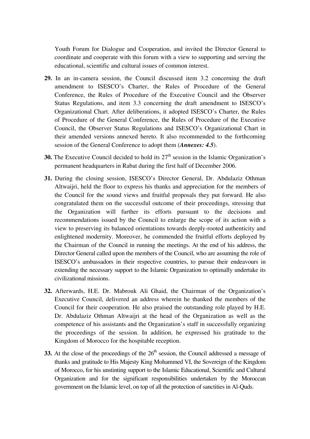Youth Forum for Dialogue and Cooperation, and invited the Director General to coordinate and cooperate with this forum with a view to supporting and serving the educational, scientific and cultural issues of common interest.

- **29.** In an in-camera session, the Council discussed item 3.2 concerning the draft amendment to ISESCO's Charter, the Rules of Procedure of the General Conference, the Rules of Procedure of the Executive Council and the Observer Status Regulations, and item 3.3 concerning the draft amendment to ISESCO's Organizational Chart. After deliberations, it adopted ISESCO's Charter, the Rules of Procedure of the General Conference, the Rules of Procedure of the Executive Council, the Observer Status Regulations and ISESCO's Organizational Chart in their amended versions annexed hereto. It also recommended to the forthcoming session of the General Conference to adopt them (*Annexes: 4.5*).
- **30.** The Executive Council decided to hold its  $27<sup>th</sup>$  session in the Islamic Organization's permanent headquarters in Rabat during the first half of December 2006.
- **31.** During the closing session, ISESCO's Director General, Dr. Abdulaziz Othman Altwaijri, held the floor to express his thanks and appreciation for the members of the Council for the sound views and fruitful proposals they put forward. He also congratulated them on the successful outcome of their proceedings, stressing that the Organization will further its efforts pursuant to the decisions and recommendations issued by the Council to enlarge the scope of its action with a view to preserving its balanced orientations towards deeply-rooted authenticity and enlightened modernity. Moreover, he commended the fruitful efforts deployed by the Chairman of the Council in running the meetings. At the end of his address, the Director General called upon the members of the Council, who are assuming the role of ISESCO's ambassadors in their respective countries, to pursue their endeavours in extending the necessary support to the Islamic Organization to optimally undertake its civilizational missions.
- **32.** Afterwards, H.E. Dr. Mabrouk Ali Ghaid, the Chairman of the Organization's Executive Council, delivered an address wherein he thanked the members of the Council for their cooperation. He also praised the outstanding role played by H.E. Dr. Abdulaziz Othman Altwaijri at the head of the Organization as well as the competence of his assistants and the Organization's staff in successfully organizing the proceedings of the session. In addition, he expressed his gratitude to the Kingdom of Morocco for the hospitable reception.
- **33.** At the close of the proceedings of the  $26<sup>th</sup>$  session, the Council addressed a message of thanks and gratitude to His Majesty King Mohammed VI, the Sovereign of the Kingdom of Morocco, for his unstinting support to the Islamic Educational, Scientific and Cultural Organization and for the significant responsibilities undertaken by the Moroccan government on the Islamic level, on top of all the protection of sanctities in Al-Quds.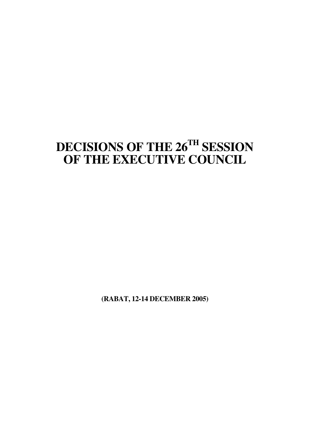# **DECISIONS OF THE 26TH SESSION OF THE EXECUTIVE COUNCIL**

**(RABAT, 12-14 DECEMBER 2005)**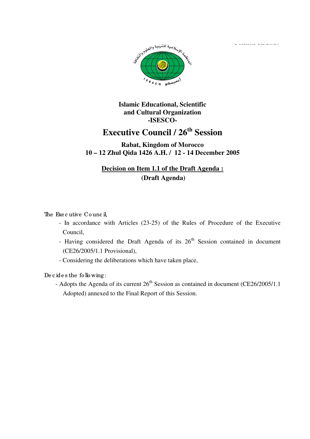**Decision CE 26/200**



**Islamic Educational, Scientific and Cultural Organization -ISESCO-**

# **Executive Council / 26th Session**

#### **Rabat, Kingdom of Morocco 10 – 12 Zhul Qida 1426 A.H. / 12 - 14 December 2005**

### **Decision on Item 1.1 of the Draft Agenda : (Draft Agenda)**

The Executive Council.

- In accordance with Articles (23-25) of the Rules of Procedure of the Executive Council,
- Having considered the Draft Agenda of its  $26<sup>th</sup>$  Session contained in document (CE26/2005/1.1 Provisional),
- Considering the deliberations which have taken place,

De c ide s the fo llo wing:

- Adopts the Agenda of its current  $26<sup>th</sup>$  Session as contained in document (CE26/2005/1.1) Adopted) annexed to the Final Report of this Session.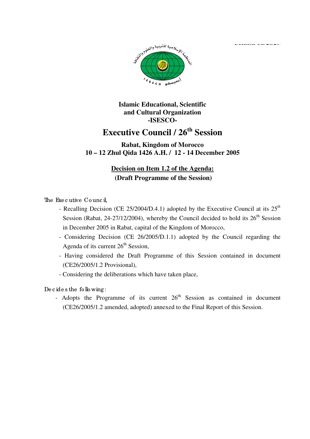**Decision CE 26/200**



**Islamic Educational, Scientific and Cultural Organization -ISESCO-**

# **Executive Council / 26th Session**

#### **Rabat, Kingdom of Morocco 10 – 12 Zhul Qida 1426 A.H. / 12 - 14 December 2005**

### **Decision on Item 1.2 of the Agenda: (Draft Programme of the Session)**

The Exe c utive Co unc il,

- Recalling Decision (CE 25/2004/D.4.1) adopted by the Executive Council at its  $25<sup>th</sup>$ Session (Rabat, 24-27/12/2004), whereby the Council decided to hold its  $26<sup>th</sup>$  Session in December 2005 in Rabat, capital of the Kingdom of Morocco,
- Considering Decision (CE 26/2005/D.1.1) adopted by the Council regarding the Agenda of its current  $26<sup>th</sup>$  Session,
- Having considered the Draft Programme of this Session contained in document (CE26/2005/1.2 Provisional),
- Considering the deliberations which have taken place,

De c ide s the fo llo wing:

- Adopts the Programme of its current  $26<sup>th</sup>$  Session as contained in document (CE26/2005/1.2 amended, adopted) annexed to the Final Report of this Session.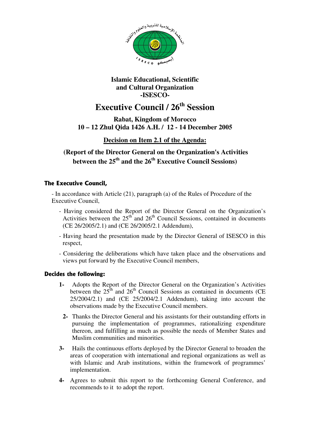

#### **Islamic Educational, Scientific and Cultural Organization -ISESCO-**

# **Executive Council / 26th Session**

**Rabat, Kingdom of Morocco 10 – 12 Zhul Qida 1426 A.H. / 12 - 14 December 2005** 

#### **Decision on Item 2.1 of the Agenda:**

#### **(Report of the Director General on the Organization's Activities between the 25th and the 26th Executive Council Sessions)**

#### **The Executive Council,**

- In accordance with Article (21), paragraph (a) of the Rules of Procedure of the Executive Council,

- Having considered the Report of the Director General on the Organization's Activities between the  $25<sup>th</sup>$  and  $26<sup>th</sup>$  Council Sessions, contained in documents (CE 26/2005/2.1) and (CE 26/2005/2.1 Addendum),
- Having heard the presentation made by the Director General of ISESCO in this respect,
- Considering the deliberations which have taken place and the observations and views put forward by the Executive Council members,

- **1-** Adopts the Report of the Director General on the Organization's Activities between the  $25<sup>th</sup>$  and  $26<sup>th</sup>$  Council Sessions as contained in documents (CE 25/2004/2.1) and (CE 25/2004/2.1 Addendum), taking into account the observations made by the Executive Council members.
	- **2-** Thanks the Director General and his assistants for their outstanding efforts in pursuing the implementation of programmes, rationalizing expenditure thereon, and fulfilling as much as possible the needs of Member States and Muslim communities and minorities.
- **3-** Hails the continuous efforts deployed by the Director General to broaden the areas of cooperation with international and regional organizations as well as with Islamic and Arab institutions, within the framework of programmes' implementation.
- **4-** Agrees to submit this report to the forthcoming General Conference, and recommends to it to adopt the report.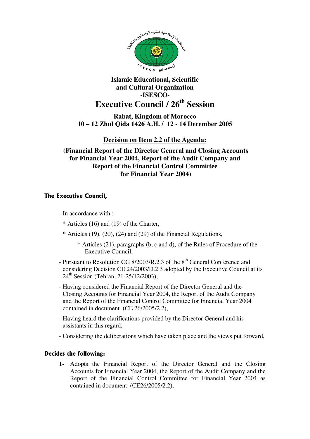

**Rabat, Kingdom of Morocco 10 – 12 Zhul Qida 1426 A.H. / 12 - 14 December 2005** 

**Decision on Item 2.2 of the Agenda:**

 **(Financial Report of the Director General and Closing Accounts for Financial Year 2004, Report of the Audit Company and Report of the Financial Control Committee for Financial Year 2004)** 

#### **The Executive Council,**

- In accordance with :
	- \* Articles (16) and (19) of the Charter,
	- $*$  Articles (19), (20), (24) and (29) of the Financial Regulations,
		- \* Articles (21), paragraphs (b, c and d), of the Rules of Procedure of the Executive Council,
- Pursuant to Resolution CG  $8/2003/R$   $.2.3$  of the  $8<sup>th</sup>$  General Conference and considering Decision CE 24/2003/D.2.3 adopted by the Executive Council at its 24<sup>th</sup> Session (Tehran, 21-25/12/2003),
- Having considered the Financial Report of the Director General and the Closing Accounts for Financial Year 2004, the Report of the Audit Company and the Report of the Financial Control Committee for Financial Year 2004 contained in document (CE 26/2005/2.2),
- Having heard the clarifications provided by the Director General and his assistants in this regard,
- Considering the deliberations which have taken place and the views put forward,

#### **Decides the following:**

**1-** Adopts the Financial Report of the Director General and the Closing Accounts for Financial Year 2004, the Report of the Audit Company and the Report of the Financial Control Committee for Financial Year 2004 as contained in document (CE26/2005/2.2),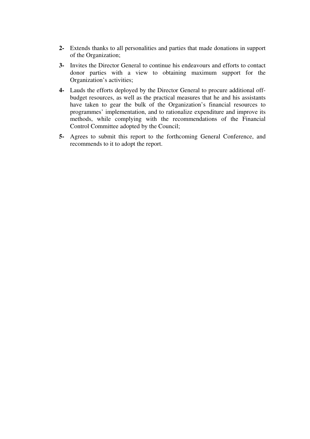- **2-** Extends thanks to all personalities and parties that made donations in support of the Organization;
- **3-** Invites the Director General to continue his endeavours and efforts to contact donor parties with a view to obtaining maximum support for the Organization's activities;
- **4-** Lauds the efforts deployed by the Director General to procure additional offbudget resources, as well as the practical measures that he and his assistants have taken to gear the bulk of the Organization's financial resources to programmes' implementation, and to rationalize expenditure and improve its methods, while complying with the recommendations of the Financial Control Committee adopted by the Council;
- **5-** Agrees to submit this report to the forthcoming General Conference, and recommends to it to adopt the report.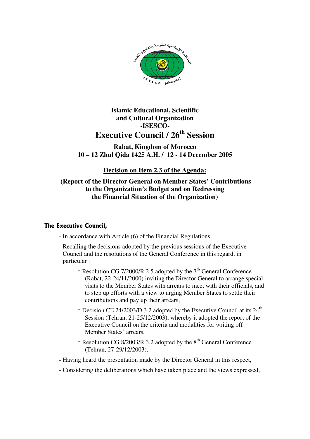

**Rabat, Kingdom of Morocco 10 – 12 Zhul Qida 1425 A.H. / 12 - 14 December 2005** 

**Decision on Item 2.3 of the Agenda:**

 **(Report of the Director General on Member States' Contributions to the Organization's Budget and on Redressing the Financial Situation of the Organization)** 

#### **The Executive Council,**

- In accordance with Article (6) of the Financial Regulations,
- Recalling the decisions adopted by the previous sessions of the Executive Council and the resolutions of the General Conference in this regard, in particular :
	- \* Resolution CG 7/2000/R.2.5 adopted by the  $7<sup>th</sup>$  General Conference (Rabat, 22-24/11/2000) inviting the Director General to arrange special visits to the Member States with arrears to meet with their officials, and to step up efforts with a view to urging Member States to settle their contributions and pay up their arrears,
	- \* Decision CE 24/2003/D.3.2 adopted by the Executive Council at its  $24<sup>th</sup>$ Session (Tehran, 21-25/12/2003), whereby it adopted the report of the Executive Council on the criteria and modalities for writing off Member States' arrears,
	- \* Resolution CG 8/2003/R.3.2 adopted by the 8th General Conference (Tehran, 27-29/12/2003),
- Having heard the presentation made by the Director General in this respect,
- Considering the deliberations which have taken place and the views expressed,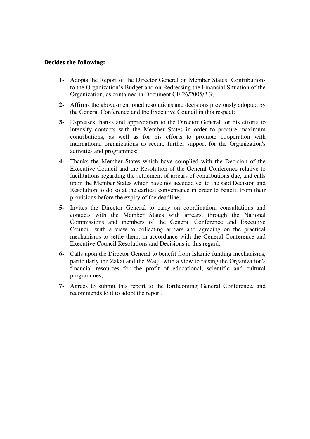- **1-** Adopts the Report of the Director General on Member States' Contributions to the Organization's Budget and on Redressing the Financial Situation of the Organization, as contained in Document CE 26/2005/2.3;
- **2-** Affirms the above-mentioned resolutions and decisions previously adopted by the General Conference and the Executive Council in this respect;
- **3-** Expresses thanks and appreciation to the Director General for his efforts to intensify contacts with the Member States in order to procure maximum contributions, as well as for his efforts to promote cooperation with international organizations to secure further support for the Organization's activities and programmes;
- **4-** Thanks the Member States which have complied with the Decision of the Executive Council and the Resolution of the General Conference relative to facilitations regarding the settlement of arrears of contributions due, and calls upon the Member States which have not acceded yet to the said Decision and Resolution to do so at the earliest convenience in order to benefit from their provisions before the expiry of the deadline;
- **5-** Invites the Director General to carry on coordination, consultations and contacts with the Member States with arrears, through the National Commissions and members of the General Conference and Executive Council, with a view to collecting arrears and agreeing on the practical mechanisms to settle them, in accordance with the General Conference and Executive Council Resolutions and Decisions in this regard;
- **6-** Calls upon the Director General to benefit from Islamic funding mechanisms, particularly the Zakat and the Waqf, with a view to raising the Organization's financial resources for the profit of educational, scientific and cultural programmes;
- **7-** Agrees to submit this report to the forthcoming General Conference, and recommends to it to adopt the report.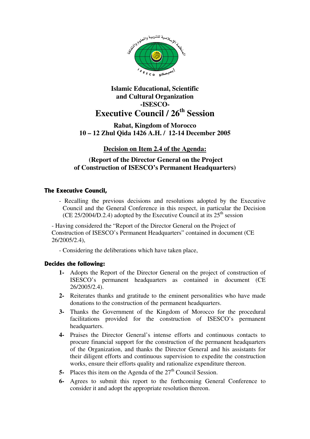

#### **Rabat, Kingdom of Morocco 10 – 12 Zhul Qida 1426 A.H. / 12-14 December 2005**

#### **Decision on Item 2.4 of the Agenda:**

#### **(Report of the Director General on the Project of Construction of ISESCO's Permanent Headquarters)**

#### **The Executive Council,**

- Recalling the previous decisions and resolutions adopted by the Executive Council and the General Conference in this respect, in particular the Decision (CE 25/2004/D.2.4) adopted by the Executive Council at its  $25<sup>th</sup>$  session

- Having considered the "Report of the Director General on the Project of Construction of ISESCO's Permanent Headquarters" contained in document (CE 26/2005/2.4),

- Considering the deliberations which have taken place,

- **1-** Adopts the Report of the Director General on the project of construction of ISESCO's permanent headquarters as contained in document (CE 26/2005/2.4).
- **2-** Reiterates thanks and gratitude to the eminent personalities who have made donations to the construction of the permanent headquarters.
- **3-** Thanks the Government of the Kingdom of Morocco for the procedural facilitations provided for the construction of ISESCO's permanent headquarters.
- **4-** Praises the Director General's intense efforts and continuous contacts to procure financial support for the construction of the permanent headquarters of the Organization, and thanks the Director General and his assistants for their diligent efforts and continuous supervision to expedite the construction works, ensure their efforts quality and rationalize expenditure thereon.
- **5-** Places this item on the Agenda of the 27<sup>th</sup> Council Session.
- **6-** Agrees to submit this report to the forthcoming General Conference to consider it and adopt the appropriate resolution thereon.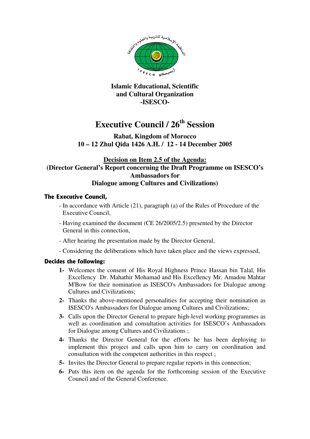

#### **Islamic Educational, Scientific and Cultural Organization -ISESCO-**

# **Executive Council / 26th Session**

#### **Rabat, Kingdom of Morocco 10 – 12 Zhul Qida 1426 A.H. / 12 - 14 December 2005**

#### **Decision on Item 2.5 of the Agenda: (Director General's Report concerning the Draft Programme on ISESCO's Ambassadors for Dialogue among Cultures and Civilizations)**

#### **The Executive Council,**

- In accordance with Article (21), paragraph (a) of the Rules of Procedure of the Executive Council,
- Having examined the document (CE 26/2005/2.5) presented by the Director General in this connection,
- After hearing the presentation made by the Director General,
- Considering the deliberations which have taken place and the views expressed,

- **1-** Welcomes the consent of His Royal Highness Prince Hassan bin Talal, His Excellency Dr. Mahathir Mohamad and His Excellency Mr. Amadou Mahtar M'Bow for their nomination as ISESCO's Ambassadors for Dialogue among Cultures and Civilizations;
- **2-** Thanks the above-mentioned personalities for accepting their nomination as ISESCO's Ambassadors for Dialogue among Cultures and Civilizations;
- **3-** Calls upon the Director General to prepare high-level working programmes as well as coordination and consultation activities for ISESCO's Ambassadors for Dialogue among Cultures and Civilizations ;
- **4-** Thanks the Director General for the efforts he has been deploying to implement this project and calls upon him to carry on coordination and consultation with the competent authorities in this respect ;
- **5-** Invites the Director General to prepare regular reports in this connection;
- **6-** Puts this item on the agenda for the forthcoming session of the Executive Council and of the General Conference.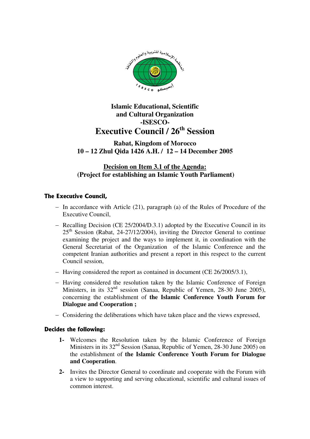

#### **Rabat, Kingdom of Morocco 10 – 12 Zhul Qida 1426 A.H. / 12 – 14 December 2005**

#### **Decision on Item 3.1 of the Agenda: (Project for establishing an Islamic Youth Parliament)**

#### **The Executive Council,**

- − In accordance with Article (21), paragraph (a) of the Rules of Procedure of the Executive Council,
- − Recalling Decision (CE 25/2004/D.3.1) adopted by the Executive Council in its  $25<sup>th</sup>$  Session (Rabat, 24-27/12/2004), inviting the Director General to continue examining the project and the ways to implement it, in coordination with the General Secretariat of the Organization of the Islamic Conference and the competent Iranian authorities and present a report in this respect to the current Council session,
- − Having considered the report as contained in document (CE 26/2005/3.1),
- − Having considered the resolution taken by the Islamic Conference of Foreign Ministers, in its  $32<sup>nd</sup>$  session (Sanaa, Republic of Yemen, 28-30 June 2005), concerning the establishment of **the Islamic Conference Youth Forum for Dialogue and Cooperation ;**
- − Considering the deliberations which have taken place and the views expressed,

- **1-** Welcomes the Resolution taken by the Islamic Conference of Foreign Ministers in its 32<sup>nd</sup> Session (Sanaa, Republic of Yemen, 28-30 June 2005) on the establishment of **the Islamic Conference Youth Forum for Dialogue and Cooperation**.
- **2-** Invites the Director General to coordinate and cooperate with the Forum with a view to supporting and serving educational, scientific and cultural issues of common interest.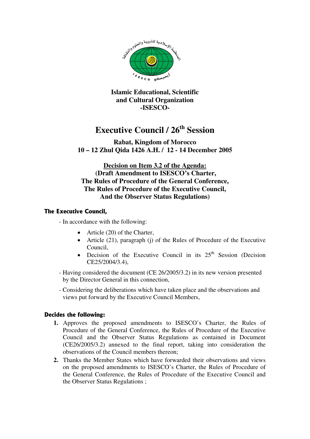

**Islamic Educational, Scientific and Cultural Organization -ISESCO-**

## **Executive Council / 26th Session**

**Rabat, Kingdom of Morocco 10 – 12 Zhul Qida 1426 A.H. / 12 - 14 December 2005** 

**Decision on Item 3.2 of the Agenda: (Draft Amendment to ISESCO's Charter, The Rules of Procedure of the General Conference, The Rules of Procedure of the Executive Council, And the Observer Status Regulations)** 

#### **The Executive Council,**

- In accordance with the following:

- Article (20) of the Charter,
- Article (21), paragraph (j) of the Rules of Procedure of the Executive Council,
- Decision of the Executive Council in its  $25<sup>th</sup>$  Session (Decision CE25/2004/3.4),
- Having considered the document (CE 26/2005/3.2) in its new version presented by the Director General in this connection,
- Considering the deliberations which have taken place and the observations and views put forward by the Executive Council Members,

- **1.** Approves the proposed amendments to ISESCO's Charter, the Rules of Procedure of the General Conference, the Rules of Procedure of the Executive Council and the Observer Status Regulations as contained in Document (CE26/2005/3.2) annexed to the final report, taking into consideration the observations of the Council members thereon;
- **2.** Thanks the Member States which have forwarded their observations and views on the proposed amendments to ISESCO's Charter, the Rules of Procedure of the General Conference, the Rules of Procedure of the Executive Council and the Observer Status Regulations ;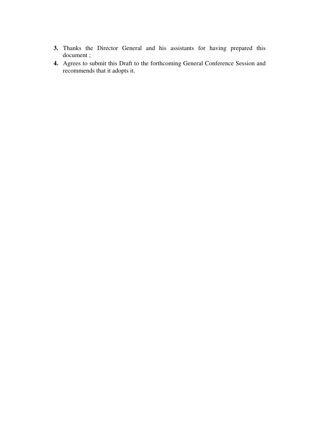- **3.** Thanks the Director General and his assistants for having prepared this document ;
- **4.** Agrees to submit this Draft to the forthcoming General Conference Session and recommends that it adopts it.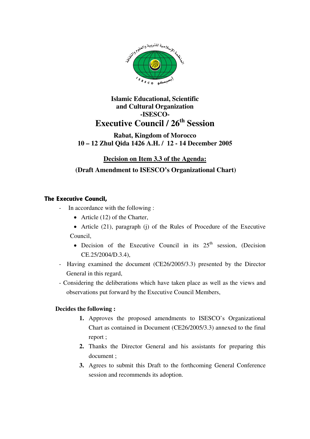

#### **Rabat, Kingdom of Morocco 10 – 12 Zhul Qida 1426 A.H. / 12 - 14 December 2005**

### **Decision on Item 3.3 of the Agenda:**

#### **(Draft Amendment to ISESCO's Organizational Chart)**

#### **The Executive Council,**

- In accordance with the following :
	- Article (12) of the Charter,
	- Article (21), paragraph (j) of the Rules of Procedure of the Executive Council,
		- Decision of the Executive Council in its  $25<sup>th</sup>$  session, (Decision CE.25/2004/D.3.4),
- Having examined the document (CE26/2005/3.3) presented by the Director General in this regard,
- Considering the deliberations which have taken place as well as the views and observations put forward by the Executive Council Members,

- **1.** Approves the proposed amendments to ISESCO's Organizational Chart as contained in Document (CE26/2005/3.3) annexed to the final report ;
- **2.** Thanks the Director General and his assistants for preparing this document ;
- **3.** Agrees to submit this Draft to the forthcoming General Conference session and recommends its adoption.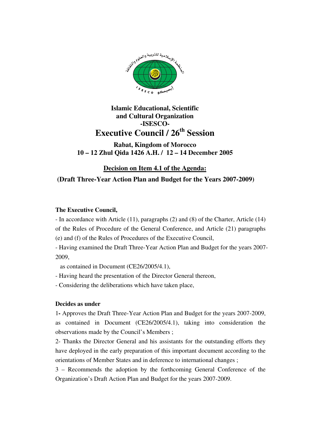

#### **Rabat, Kingdom of Morocco 10 – 12 Zhul Qida 1426 A.H. / 12 – 14 December 2005**

**Decision on Item 4.1 of the Agenda:**

#### **(Draft Three-Year Action Plan and Budget for the Years 2007-2009)**

#### **The Executive Council,**

- In accordance with Article (11), paragraphs (2) and (8) of the Charter, Article (14) of the Rules of Procedure of the General Conference, and Article (21) paragraphs (e) and (f) of the Rules of Procedures of the Executive Council,

- Having examined the Draft Three-Year Action Plan and Budget for the years 2007- 2009,

as contained in Document (CE26/2005/4.1),

- Having heard the presentation of the Director General thereon,

- Considering the deliberations which have taken place,

#### **Decides as under**

1**-** Approves the Draft Three-Year Action Plan and Budget for the years 2007-2009, as contained in Document (CE26/2005/4.1), taking into consideration the observations made by the Council's Members ;

2- Thanks the Director General and his assistants for the outstanding efforts they have deployed in the early preparation of this important document according to the orientations of Member States and in deference to international changes ;

3 – Recommends the adoption by the forthcoming General Conference of the Organization's Draft Action Plan and Budget for the years 2007-2009.